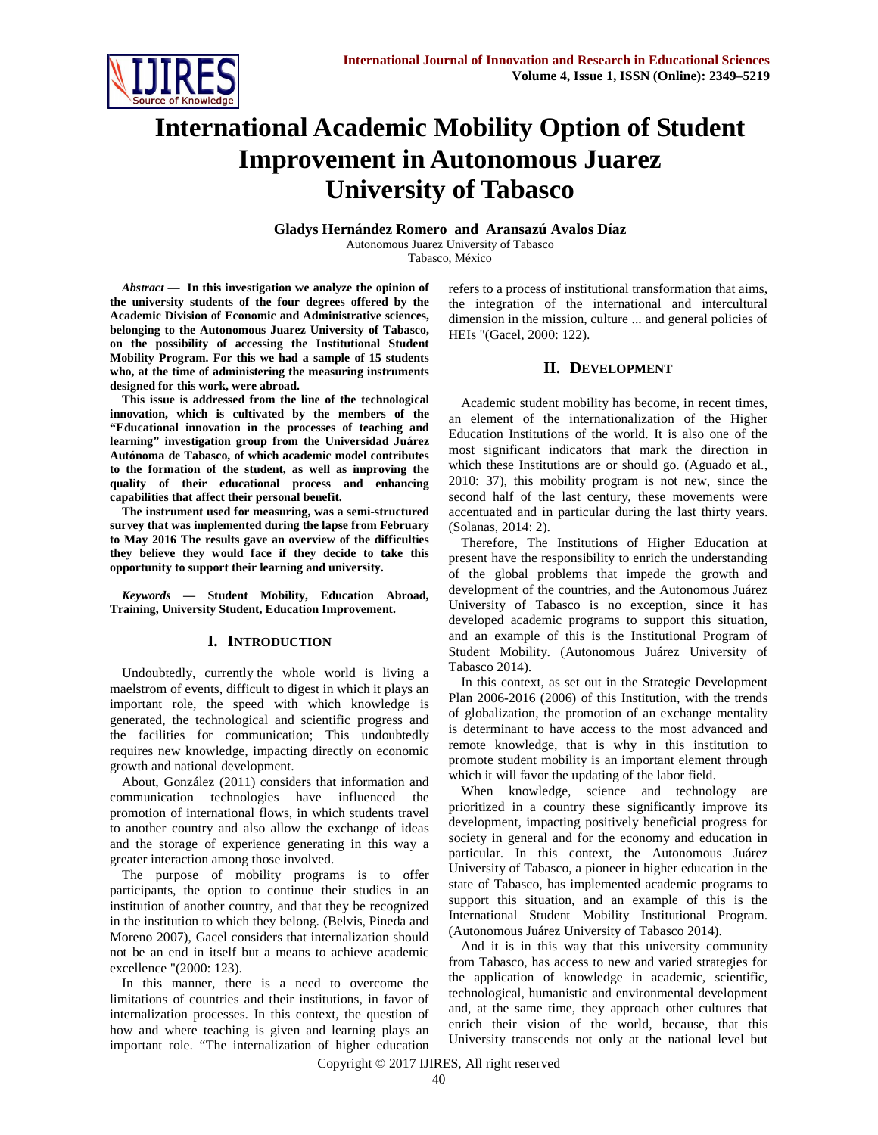

# **International Academic Mobility Option of Student Improvement in Autonomous Juarez University of Tabasco**

**Gladys Hernández Romero and Aransazú Avalos Díaz**  Autonomous Juarez University of Tabasco Tabasco, México

*Abstract* **— In this investigation we analyze the opinion of the university students of the four degrees offered by the Academic Division of Economic and Administrative sciences, belonging to the Autonomous Juarez University of Tabasco, on the possibility of accessing the Institutional Student Mobility Program. For this we had a sample of 15 students who, at the time of administering the measuring instruments designed for this work, were abroad.** 

**This issue is addressed from the line of the technological innovation, which is cultivated by the members of the "Educational innovation in the processes of teaching and learning" investigation group from the Universidad Juárez Autónoma de Tabasco, of which academic model contributes to the formation of the student, as well as improving the quality of their educational process and enhancing capabilities that affect their personal benefit.** 

**The instrument used for measuring, was a semi-structured survey that was implemented during the lapse from February to May 2016 The results gave an overview of the difficulties they believe they would face if they decide to take this opportunity to support their learning and university.** 

*Keywords* **— Student Mobility, Education Abroad, Training, University Student, Education Improvement.** 

#### **I. INTRODUCTION**

Undoubtedly, currently the whole world is living a maelstrom of events, difficult to digest in which it plays an important role, the speed with which knowledge is generated, the technological and scientific progress and the facilities for communication; This undoubtedly requires new knowledge, impacting directly on economic growth and national development.

About, González (2011) considers that information and communication technologies have influenced the promotion of international flows, in which students travel to another country and also allow the exchange of ideas and the storage of experience generating in this way a greater interaction among those involved.

The purpose of mobility programs is to offer participants, the option to continue their studies in an institution of another country, and that they be recognized in the institution to which they belong. (Belvis, Pineda and Moreno 2007), Gacel considers that internalization should not be an end in itself but a means to achieve academic excellence "(2000: 123).

In this manner, there is a need to overcome the limitations of countries and their institutions, in favor of internalization processes. In this context, the question of how and where teaching is given and learning plays an important role. "The internalization of higher education refers to a process of institutional transformation that aims, the integration of the international and intercultural dimension in the mission, culture ... and general policies of HEIs "(Gacel, 2000: 122).

## **II. DEVELOPMENT**

Academic student mobility has become, in recent times, an element of the internationalization of the Higher Education Institutions of the world. It is also one of the most significant indicators that mark the direction in which these Institutions are or should go. (Aguado et al., 2010: 37), this mobility program is not new, since the second half of the last century, these movements were accentuated and in particular during the last thirty years. (Solanas, 2014: 2).

Therefore, The Institutions of Higher Education at present have the responsibility to enrich the understanding of the global problems that impede the growth and development of the countries, and the Autonomous Juárez University of Tabasco is no exception, since it has developed academic programs to support this situation, and an example of this is the Institutional Program of Student Mobility. (Autonomous Juárez University of Tabasco 2014).

In this context, as set out in the Strategic Development Plan 2006-2016 (2006) of this Institution, with the trends of globalization, the promotion of an exchange mentality is determinant to have access to the most advanced and remote knowledge, that is why in this institution to promote student mobility is an important element through which it will favor the updating of the labor field.

When knowledge, science and technology are prioritized in a country these significantly improve its development, impacting positively beneficial progress for society in general and for the economy and education in particular. In this context, the Autonomous Juárez University of Tabasco, a pioneer in higher education in the state of Tabasco, has implemented academic programs to support this situation, and an example of this is the International Student Mobility Institutional Program. (Autonomous Juárez University of Tabasco 2014).

And it is in this way that this university community from Tabasco, has access to new and varied strategies for the application of knowledge in academic, scientific, technological, humanistic and environmental development and, at the same time, they approach other cultures that enrich their vision of the world, because, that this University transcends not only at the national level but

Copyright © 2017 IJIRES, All right reserved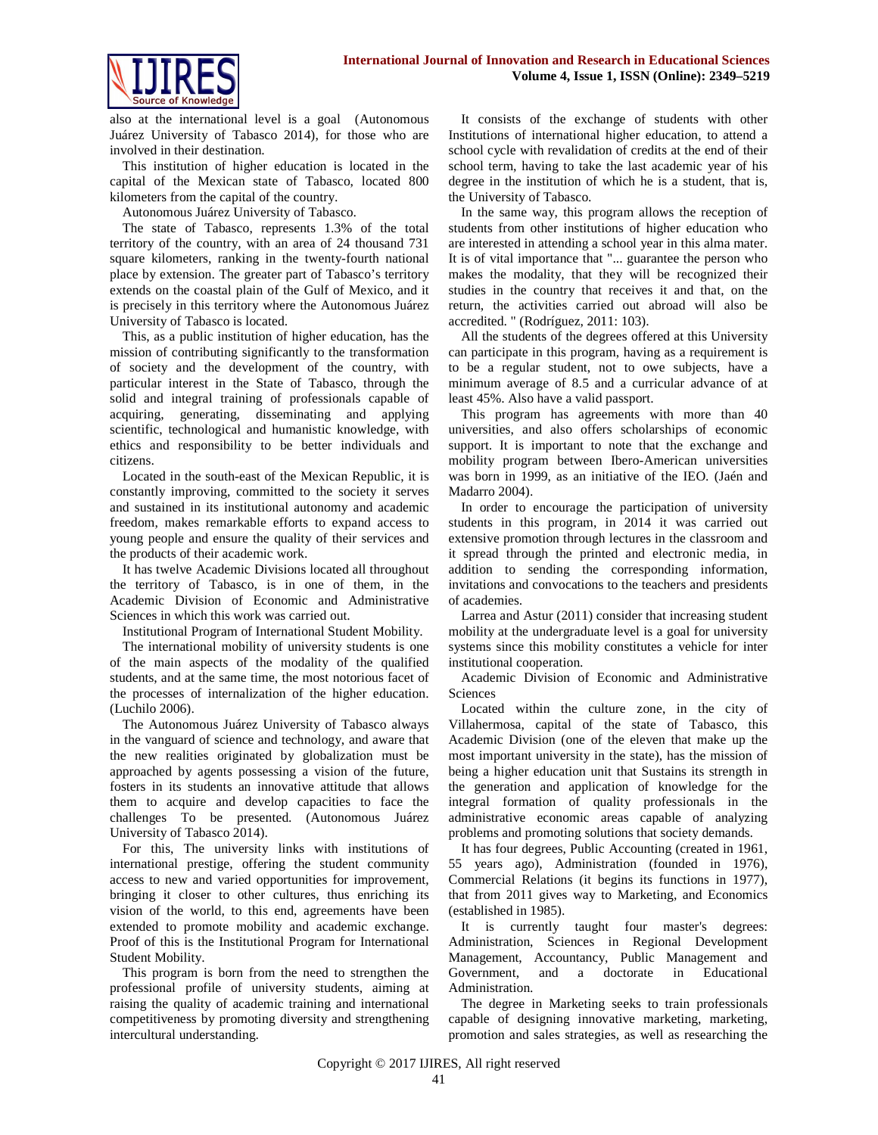

also at the international level is a goal (Autonomous Juárez University of Tabasco 2014), for those who are involved in their destination.

This institution of higher education is located in the capital of the Mexican state of Tabasco, located 800 kilometers from the capital of the country.

Autonomous Juárez University of Tabasco.

The state of Tabasco, represents 1.3% of the total territory of the country, with an area of 24 thousand 731 square kilometers, ranking in the twenty-fourth national place by extension. The greater part of Tabasco's territory extends on the coastal plain of the Gulf of Mexico, and it is precisely in this territory where the Autonomous Juárez University of Tabasco is located.

This, as a public institution of higher education, has the mission of contributing significantly to the transformation of society and the development of the country, with particular interest in the State of Tabasco, through the solid and integral training of professionals capable of acquiring, generating, disseminating and applying scientific, technological and humanistic knowledge, with ethics and responsibility to be better individuals and citizens.

Located in the south-east of the Mexican Republic, it is constantly improving, committed to the society it serves and sustained in its institutional autonomy and academic freedom, makes remarkable efforts to expand access to young people and ensure the quality of their services and the products of their academic work.

It has twelve Academic Divisions located all throughout the territory of Tabasco, is in one of them, in the Academic Division of Economic and Administrative Sciences in which this work was carried out.

Institutional Program of International Student Mobility.

The international mobility of university students is one of the main aspects of the modality of the qualified students, and at the same time, the most notorious facet of the processes of internalization of the higher education. (Luchilo 2006).

The Autonomous Juárez University of Tabasco always in the vanguard of science and technology, and aware that the new realities originated by globalization must be approached by agents possessing a vision of the future, fosters in its students an innovative attitude that allows them to acquire and develop capacities to face the challenges To be presented. (Autonomous Juárez University of Tabasco 2014).

For this, The university links with institutions of international prestige, offering the student community access to new and varied opportunities for improvement, bringing it closer to other cultures, thus enriching its vision of the world, to this end, agreements have been extended to promote mobility and academic exchange. Proof of this is the Institutional Program for International Student Mobility.

This program is born from the need to strengthen the professional profile of university students, aiming at raising the quality of academic training and international competitiveness by promoting diversity and strengthening intercultural understanding.

It consists of the exchange of students with other Institutions of international higher education, to attend a school cycle with revalidation of credits at the end of their school term, having to take the last academic year of his degree in the institution of which he is a student, that is, the University of Tabasco.

In the same way, this program allows the reception of students from other institutions of higher education who are interested in attending a school year in this alma mater. It is of vital importance that "... guarantee the person who makes the modality, that they will be recognized their studies in the country that receives it and that, on the return, the activities carried out abroad will also be accredited. " (Rodríguez, 2011: 103).

All the students of the degrees offered at this University can participate in this program, having as a requirement is to be a regular student, not to owe subjects, have a minimum average of 8.5 and a curricular advance of at least 45%. Also have a valid passport.

This program has agreements with more than 40 universities, and also offers scholarships of economic support. It is important to note that the exchange and mobility program between Ibero-American universities was born in 1999, as an initiative of the IEO. (Jaén and Madarro 2004).

In order to encourage the participation of university students in this program, in 2014 it was carried out extensive promotion through lectures in the classroom and it spread through the printed and electronic media, in addition to sending the corresponding information, invitations and convocations to the teachers and presidents of academies.

Larrea and Astur (2011) consider that increasing student mobility at the undergraduate level is a goal for university systems since this mobility constitutes a vehicle for inter institutional cooperation.

Academic Division of Economic and Administrative **Sciences** 

Located within the culture zone, in the city of Villahermosa, capital of the state of Tabasco, this Academic Division (one of the eleven that make up the most important university in the state), has the mission of being a higher education unit that Sustains its strength in the generation and application of knowledge for the integral formation of quality professionals in the administrative economic areas capable of analyzing problems and promoting solutions that society demands.

It has four degrees, Public Accounting (created in 1961, 55 years ago), Administration (founded in 1976), Commercial Relations (it begins its functions in 1977), that from 2011 gives way to Marketing, and Economics (established in 1985).

It is currently taught four master's degrees: Administration, Sciences in Regional Development Management, Accountancy, Public Management and Government, and a doctorate in Educational Administration.

The degree in Marketing seeks to train professionals capable of designing innovative marketing, marketing, promotion and sales strategies, as well as researching the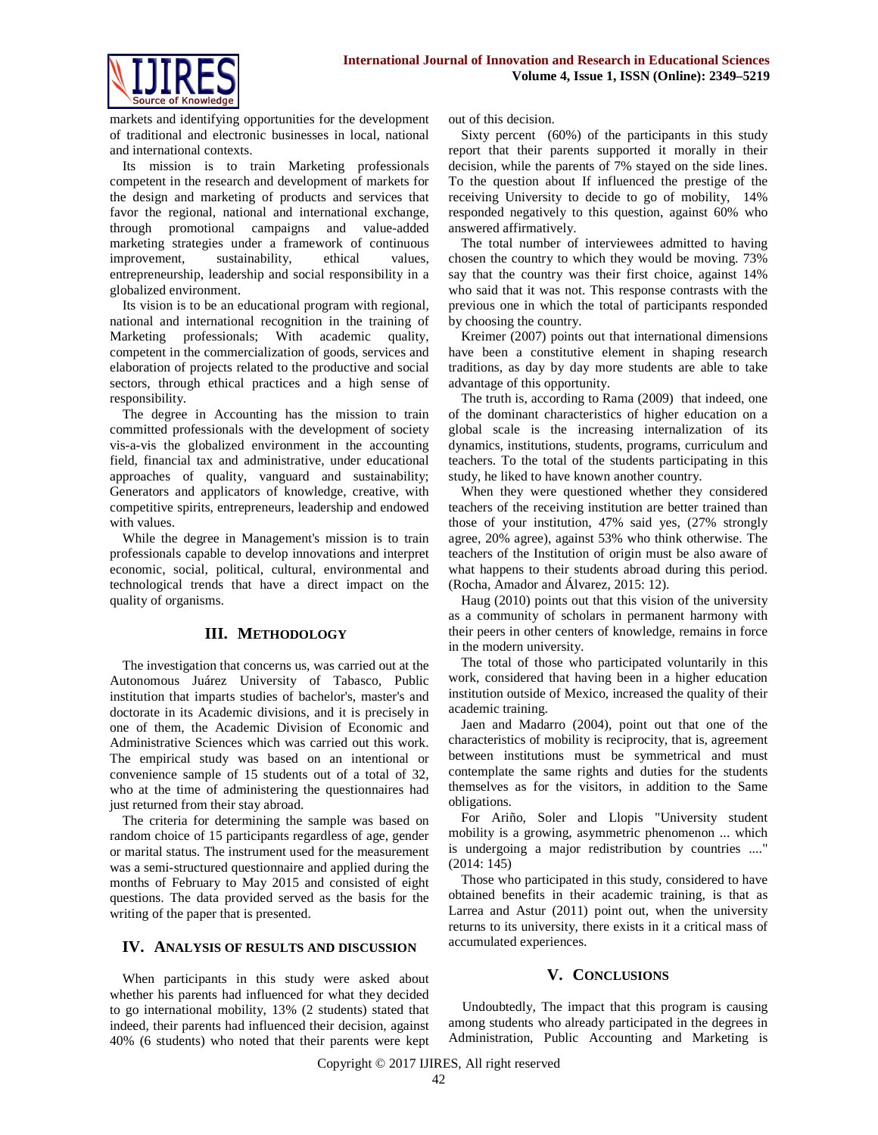

markets and identifying opportunities for the development of traditional and electronic businesses in local, national and international contexts.

Its mission is to train Marketing professionals competent in the research and development of markets for the design and marketing of products and services that favor the regional, national and international exchange, through promotional campaigns and value-added marketing strategies under a framework of continuous improvement, sustainability, ethical values, entrepreneurship, leadership and social responsibility in a globalized environment.

Its vision is to be an educational program with regional, national and international recognition in the training of Marketing professionals; With academic quality, competent in the commercialization of goods, services and elaboration of projects related to the productive and social sectors, through ethical practices and a high sense of responsibility.

The degree in Accounting has the mission to train committed professionals with the development of society vis-a-vis the globalized environment in the accounting field, financial tax and administrative, under educational approaches of quality, vanguard and sustainability; Generators and applicators of knowledge, creative, with competitive spirits, entrepreneurs, leadership and endowed with values.

While the degree in Management's mission is to train professionals capable to develop innovations and interpret economic, social, political, cultural, environmental and technological trends that have a direct impact on the quality of organisms.

## **III. METHODOLOGY**

The investigation that concerns us, was carried out at the Autonomous Juárez University of Tabasco, Public institution that imparts studies of bachelor's, master's and doctorate in its Academic divisions, and it is precisely in one of them, the Academic Division of Economic and Administrative Sciences which was carried out this work. The empirical study was based on an intentional or convenience sample of 15 students out of a total of 32, who at the time of administering the questionnaires had just returned from their stay abroad.

The criteria for determining the sample was based on random choice of 15 participants regardless of age, gender or marital status. The instrument used for the measurement was a semi-structured questionnaire and applied during the months of February to May 2015 and consisted of eight questions. The data provided served as the basis for the writing of the paper that is presented.

#### **IV. ANALYSIS OF RESULTS AND DISCUSSION**

When participants in this study were asked about whether his parents had influenced for what they decided to go international mobility, 13% (2 students) stated that indeed, their parents had influenced their decision, against 40% (6 students) who noted that their parents were kept out of this decision.

Sixty percent (60%) of the participants in this study report that their parents supported it morally in their decision, while the parents of 7% stayed on the side lines. To the question about If influenced the prestige of the receiving University to decide to go of mobility, 14% responded negatively to this question, against 60% who answered affirmatively.

The total number of interviewees admitted to having chosen the country to which they would be moving. 73% say that the country was their first choice, against 14% who said that it was not. This response contrasts with the previous one in which the total of participants responded by choosing the country.

Kreimer (2007) points out that international dimensions have been a constitutive element in shaping research traditions, as day by day more students are able to take advantage of this opportunity.

The truth is, according to Rama (2009) that indeed, one of the dominant characteristics of higher education on a global scale is the increasing internalization of its dynamics, institutions, students, programs, curriculum and teachers. To the total of the students participating in this study, he liked to have known another country.

When they were questioned whether they considered teachers of the receiving institution are better trained than those of your institution, 47% said yes, (27% strongly agree, 20% agree), against 53% who think otherwise. The teachers of the Institution of origin must be also aware of what happens to their students abroad during this period. (Rocha, Amador and Álvarez, 2015: 12).

Haug (2010) points out that this vision of the university as a community of scholars in permanent harmony with their peers in other centers of knowledge, remains in force in the modern university.

The total of those who participated voluntarily in this work, considered that having been in a higher education institution outside of Mexico, increased the quality of their academic training.

Jaen and Madarro (2004), point out that one of the characteristics of mobility is reciprocity, that is, agreement between institutions must be symmetrical and must contemplate the same rights and duties for the students themselves as for the visitors, in addition to the Same obligations.

For Ariño, Soler and Llopis "University student mobility is a growing, asymmetric phenomenon ... which is undergoing a major redistribution by countries ...." (2014: 145)

Those who participated in this study, considered to have obtained benefits in their academic training, is that as Larrea and Astur (2011) point out, when the university returns to its university, there exists in it a critical mass of accumulated experiences.

#### **V. CONCLUSIONS**

Undoubtedly, The impact that this program is causing among students who already participated in the degrees in Administration, Public Accounting and Marketing is